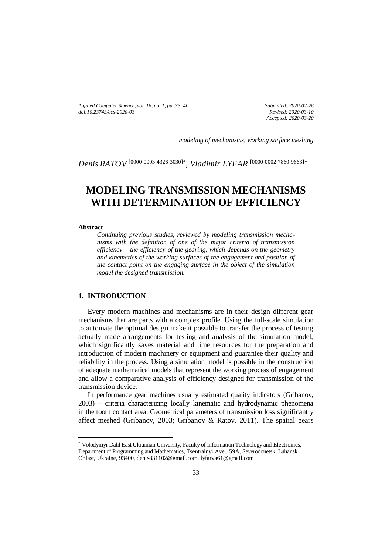*Applied Computer Science, vol. 16, no. 1, pp. 33–40 doi[:10.23743/acs-2020-03](http://acs.pollub.pl/pdf/v16n1/3.pdf)*

*Submitted: 2020-02-26 Revised: 2020-03-10 Accepted: 2020-03-20*

*modeling of mechanisms, working surface meshing*

*Denis RATOV* [\[0000-0003-4326-3030\]](https://orcid.org/0000-0003-4326-3030)*\* , Vladimir LYFAR* [\[0000-0002-7860-9663\]](https://orcid.org/0000-0002-7860-9663)*\**

# **MODELING TRANSMISSION MECHANISMS WITH DETERMINATION OF EFFICIENCY**

#### **Abstract**

 $\overline{a}$ 

*Continuing previous studies, reviewed by modeling transmission mechanisms with the definition of one of the major criteria of transmission efficiency – the efficiency of the gearing, which depends on the geometry and kinematics of the working surfaces of the engagement and position of the contact point on the engaging surface in the object of the simulation model the designed transmission.* 

#### **1. INTRODUCTION**

Every modern machines and mechanisms are in their design different gear mechanisms that are parts with a complex profile. Using the full-scale simulation to automate the optimal design make it possible to transfer the process of testing actually made arrangements for testing and analysis of the simulation model, which significantly saves material and time resources for the preparation and introduction of modern machinery or equipment and guarantee their quality and reliability in the process. Using a simulation model is possible in the construction of adequate mathematical models that represent the working process of engagement and allow a comparative analysis of efficiency designed for transmission of the transmission device.

In performance gear machines usually estimated quality indicators (Gribanov, 2003) – criteria characterizing locally kinematic and hydrodynamic phenomena in the tooth contact area. Geometrical parameters of transmission loss significantly affect meshed (Gribanov, 2003; Gribanov & Ratov, 2011). The spatial gears

<sup>\*</sup> Volodymyr Dahl East Ukrainian University, Faculty of Information Technology and Electronics, Department of Programming and Mathematics, Tsentralnyi Ave., 59A, Severodonetsk, Luhansk Oblast, Ukraine, 93400, denis831102@gmail.com, lyfarva61@gmail.com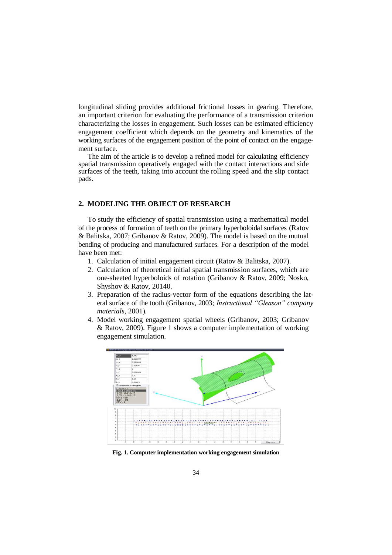longitudinal sliding provides additional frictional losses in gearing. Therefore, an important criterion for evaluating the performance of a transmission criterion characterizing the losses in engagement. Such losses can be estimated efficiency engagement coefficient which depends on the geometry and kinematics of the working surfaces of the engagement position of the point of contact on the engagement surface.

The aim of the article is to develop a refined model for calculating efficiency spatial transmission operatively engaged with the contact interactions and side surfaces of the teeth, taking into account the rolling speed and the slip contact pads.

### **2. MODELING THE OBJECT OF RESEARCH**

To study the efficiency of spatial transmission using a mathematical model of the process of formation of teeth on the primary hyperboloidal surfaces (Ratov & Balitska, 2007; Gribanov & Ratov, 2009). The model is based on the mutual bending of producing and manufactured surfaces. For a description of the model have been met:

- 1. Calculation of initial engagement circuit (Ratov & Balitska, 2007).
- 2. Calculation of theoretical initial spatial transmission surfaces, which are one-sheeted hyperboloids of rotation (Gribanov & Ratov, 2009; Nosko, Shyshov & Ratov, 20140.
- 3. Preparation of the radius-vector form of the equations describing the lateral surface of the tooth (Gribanov, 2003; *Instructional "Gleason" company materials,* 2001).
- 4. Model working engagement spatial wheels (Gribanov, 2003; Gribanov & Ratov, 2009). Figure 1 shows a computer implementation of working engagement simulation.



**Fig. 1. Computer implementation working engagement simulation**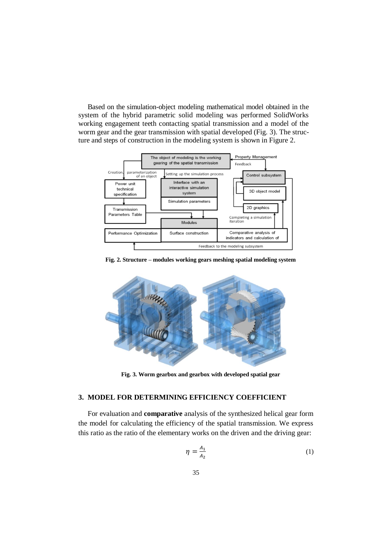Based on the simulation-object modeling mathematical model obtained in the system of the hybrid parametric solid modeling was performed SolidWorks working engagement teeth contacting spatial transmission and a model of the worm gear and the gear transmission with spatial developed (Fig. 3). The structure and steps of construction in the modeling system is shown in Figure 2.



**Fig. 2. Structure – modules working gears meshing spatial modeling system**



**Fig. 3. Worm gearbox and gearbox with developed spatial gear**

## **3. MODEL FOR DETERMINING EFFICIENCY COEFFICIENT**

For evaluation and **comparative** analysis of the synthesized helical gear form the model for calculating the efficiency of the spatial transmission. We express this ratio as the ratio of the elementary works on the driven and the driving gear:

$$
\eta = \frac{A_1}{A_2} \tag{1}
$$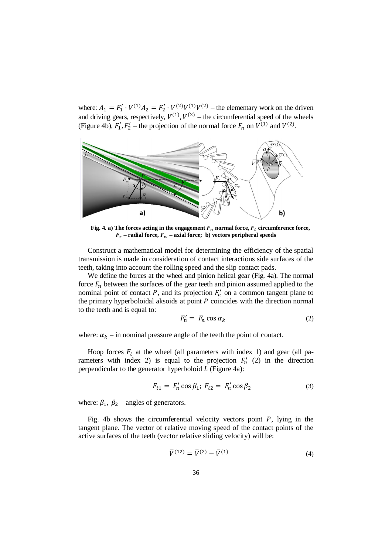where:  $A_1 = F'_1 \cdot V^{(1)} A_2 = F'_2 \cdot V^{(2)} V^{(1)} V^{(2)}$  – the elementary work on the driven and driving gears, respectively,  $V^{(1)}$ ,  $V^{(2)}$  – the circumferential speed of the wheels (Figure 4b),  $F'_1$ ,  $F'_2$  – the projection of the normal force  $F_n$  on  $V^{(1)}$  and  $V^{(2)}$ .



**Fig. 4.** a) The forces acting in the engagement  $F_n$  normal force,  $F_t$  circumference force,  $F_r$  – **radial force,**  $F_w$  **– axial force; b**) vectors peripheral speeds

Construct a mathematical model for determining the efficiency of the spatial transmission is made in consideration of contact interactions side surfaces of the teeth, taking into account the rolling speed and the slip contact pads.

We define the forces at the wheel and pinion helical gear (Fig. 4a). The normal force  $F_n$  between the surfaces of the gear teeth and pinion assumed applied to the nominal point of contact  $P$ , and its projection  $F'_n$  on a common tangent plane to the primary hyperboloidal aksoids at point  $P$  coincides with the direction normal to the teeth and is equal to:

$$
F'_n = F_n \cos \alpha_k \tag{2}
$$

where:  $\alpha_k$  – in nominal pressure angle of the teeth the point of contact.

Hoop forces  $F_t$  at the wheel (all parameters with index 1) and gear (all parameters with index 2) is equal to the projection  $F'_n$  (2) in the direction perpendicular to the generator hyperboloid  $L$  (Figure 4a):

$$
F_{t1} = F'_n \cos \beta_1; F_{t2} = F'_n \cos \beta_2 \tag{3}
$$

where:  $\beta_1$ ,  $\beta_2$  – angles of generators.

Fig. 4b shows the circumferential velocity vectors point  $P$ , lying in the tangent plane. The vector of relative moving speed of the contact points of the active surfaces of the teeth (vector relative sliding velocity) will be:

$$
\bar{V}^{(12)} = \bar{V}^{(2)} - \bar{V}^{(1)}
$$
\n(4)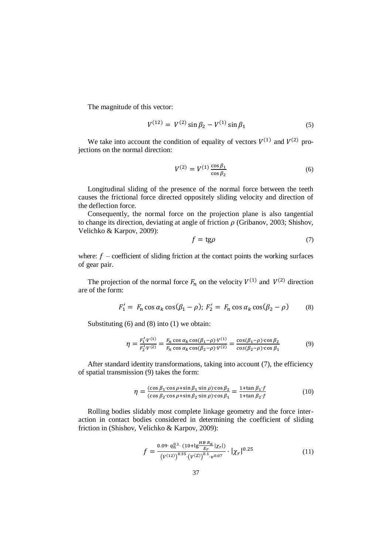The magnitude of this vector:

$$
V^{(12)} = V^{(2)} \sin \beta_2 - V^{(1)} \sin \beta_1 \tag{5}
$$

We take into account the condition of equality of vectors  $V^{(1)}$  and  $V^{(2)}$  projections on the normal direction:

$$
V^{(2)} = V^{(1)} \frac{\cos \beta_1}{\cos \beta_2} \tag{6}
$$

Longitudinal sliding of the presence of the normal force between the teeth causes the frictional force directed oppositely sliding velocity and direction of the deflection force.

Consequently, the normal force on the projection plane is also tangential to change its direction, deviating at angle of friction  $\rho$  (Gribanov, 2003; Shishov, Velichko & Karpov, 2009):

$$
f = \text{tg}\rho \tag{7}
$$

where:  $f$  – coefficient of sliding friction at the contact points the working surfaces of gear pair.

The projection of the normal force  $F_n$  on the velocity  $V^{(1)}$  and  $V^{(2)}$  direction are of the form:

$$
F_1' = F_n \cos \alpha_k \cos(\beta_1 - \rho); F_2' = F_n \cos \alpha_k \cos(\beta_2 - \rho) \tag{8}
$$

Substituting (6) and (8) into (1) we obtain:

$$
\eta = \frac{F_1' \cdot V^{(1)}}{F_2' \cdot V^{(2)}} = \frac{F_n \cos \alpha_k \cos(\beta_1 - \rho) \cdot V^{(1)}}{F_n \cos \alpha_k \cos(\beta_2 - \rho) \cdot V^{(2)}} = \frac{\cos(\beta_1 - \rho) \cdot \cos \beta_2}{\cos(\beta_2 - \rho) \cdot \cos \beta_1}
$$
(9)

After standard identity transformations, taking into account (7), the efficiency of spatial transmission (9) takes the form:

$$
\eta = \frac{(\cos \beta_1 \cdot \cos \rho + \sin \beta_1 \cdot \sin \rho) \cdot \cos \beta_2}{(\cos \beta_2 \cdot \cos \rho + \sin \beta_2 \cdot \sin \rho) \cdot \cos \beta_1} = \frac{1 + \tan \beta_1 \cdot f}{1 + \tan \beta_2 \cdot f}
$$
(10)

Rolling bodies slidably most complete linkage geometry and the force interaction in contact bodies considered in determining the coefficient of sliding friction in (Shishov, Velichko & Karpov, 2009):

$$
f = \frac{0.09 \cdot q_n^{0.1} \cdot (10 + \lg \frac{HB \cdot R_a}{E_r} |\chi_r|)}{(v^{(12)})^{0.35} \cdot (v^{(E)})^{0.1} \cdot v^{0.07}} \cdot |\chi_r|^{0.25}
$$
 (11)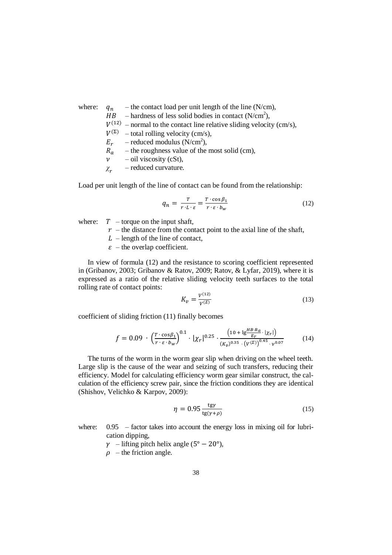where:  $q_n$  – the contact load per unit length of the line (N/cm),

 $HB$  – hardness of less solid bodies in contact (N/cm<sup>2</sup>),

- $V^{(12)}$  normal to the contact line relative sliding velocity (cm/s),
- $V^{(\Sigma)}$  total rolling velocity (cm/s),
- $E_r$  reduced modulus (N/cm<sup>2</sup>),
- $R_a$  the roughness value of the most solid (cm),
- $\nu$  oil viscosity (cSt),
- *χ* – reduced curvature.

Load per unit length of the line of contact can be found from the relationship:

$$
q_n = \frac{T}{r \cdot L \cdot \varepsilon} = \frac{T \cdot \cos \beta_1}{r \cdot \varepsilon \cdot b_w} \tag{12}
$$

where:  $T$  – torque on the input shaft,

- $r$  the distance from the contact point to the axial line of the shaft,
- $L$  length of the line of contact,
- $\epsilon$  the overlap coefficient.

In view of formula (12) and the resistance to scoring coefficient represented in (Gribanov, 2003; Gribanov & Ratov, 2009; Ratov, & Lyfar, 2019), where it is expressed as a ratio of the relative sliding velocity teeth surfaces to the total rolling rate of contact points:

$$
K_{\nu} = \frac{V^{(12)}}{V^{(\Sigma)}} \tag{13}
$$

coefficient of sliding friction (11) finally becomes

$$
f = 0.09 \cdot \left(\frac{T \cdot \cos \beta_1}{r \cdot \varepsilon \cdot b_W}\right)^{0.1} \cdot |\chi_r|^{0.25} \cdot \frac{\left(10 + \lg \frac{HB \cdot R_a}{E_r} \cdot |\chi_r|\right)}{\left(K_v\right)^{0.35} \cdot \left(V^{(\Sigma)}\right)^{0.45} \cdot \nu^{0.07}}
$$
(14)

The turns of the worm in the worm gear slip when driving on the wheel teeth. Large slip is the cause of the wear and seizing of such transfers, reducing their efficiency. Model for calculating efficiency worm gear similar construct, the calculation of the efficiency screw pair, since the friction conditions they are identical (Shishov, Velichko & Karpov, 2009):

$$
\eta = 0.95 \frac{\text{tgy}}{\text{tg}(\gamma + \rho)}\tag{15}
$$

where:  $0.95$  – factor takes into account the energy loss in mixing oil for lubrication dipping,

 $\gamma$  – lifting pitch helix angle (5° – 20°),

 $\rho$  – the friction angle.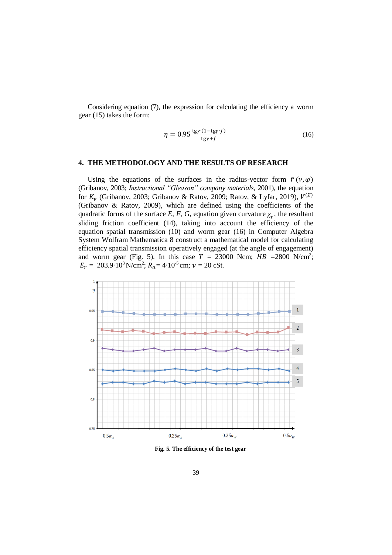Considering equation (7), the expression for calculating the efficiency a worm gear (15) takes the form:

$$
\eta = 0.95 \frac{\text{tgy} \cdot (1 - \text{tgy} \cdot f)}{\text{tgy} + f} \tag{16}
$$

## **4. THE METHODOLOGY AND THE RESULTS OF RESEARCH**

Using the equations of the surfaces in the radius-vector form  $\bar{r}(\nu,\varphi)$ (Gribanov, 2003; *Instructional "Gleason" company materials,* 2001), the equation for  $K_v$  (Gribanov, 2003; Gribanov & Ratov, 2009; Ratov, & Lyfar, 2019),  $V^{(\Sigma)}$ (Gribanov & Ratov, 2009), which are defined using the coefficients of the quadratic forms of the surface *E*, *F*, *G*, equation given curvature  $\chi_r$ , the resultant sliding friction coefficient (14), taking into account the efficiency of the equation spatial transmission (10) and worm gear (16) in [Computer Algebra](https://ru.wikipedia.org/wiki/%D0%A1%D0%B8%D1%81%D1%82%D0%B5%D0%BC%D0%B0_%D0%BA%D0%BE%D0%BC%D0%BF%D1%8C%D1%8E%D1%82%D0%B5%D1%80%D0%BD%D0%BE%D0%B9_%D0%B0%D0%BB%D0%B3%D0%B5%D0%B1%D1%80%D1%8B)  [System](https://ru.wikipedia.org/wiki/%D0%A1%D0%B8%D1%81%D1%82%D0%B5%D0%BC%D0%B0_%D0%BA%D0%BE%D0%BC%D0%BF%D1%8C%D1%8E%D1%82%D0%B5%D1%80%D0%BD%D0%BE%D0%B9_%D0%B0%D0%BB%D0%B3%D0%B5%D0%B1%D1%80%D1%8B) Wolfram Mathematica 8 construct a mathematical model for calculating efficiency spatial transmission operatively engaged (at the angle of engagement) and worm gear (Fig. 5). In this case  $T = 23000$  Ncm;  $HB = 2800$  N/cm<sup>2</sup>;  $E_r = 203.9 \cdot 10^3 \text{ N/cm}^2$ ;  $R_a = 4 \cdot 10^{-5} \text{ cm}$ ;  $v = 20 \text{ cSt}$ .



**Fig. 5. The efficiency of the test gear**